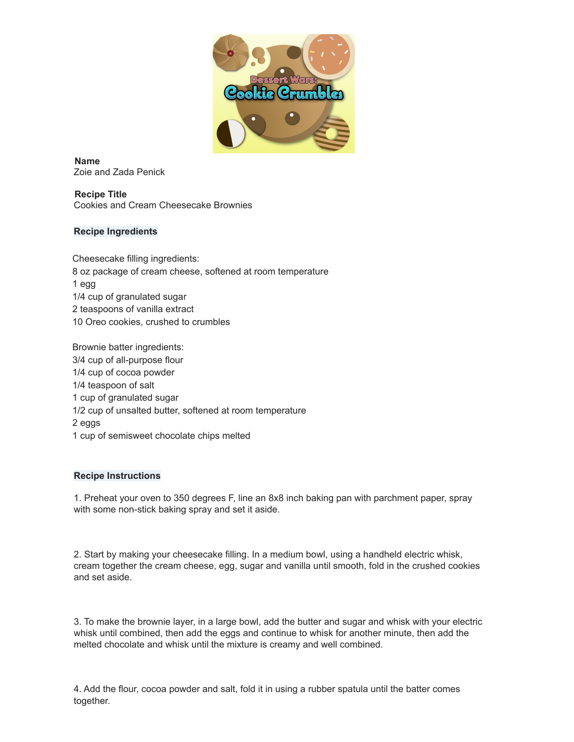

**Name** Zoie and Zada Penick

**Recipe Title** Cookies and Cream Cheesecake Brownies

## **Recipe Ingredients**

Cheesecake filling ingredients: 8 oz package of cream cheese, softened at room temperature 1 egg 1/4 cup of granulated sugar 2 teaspoons of vanilla extract 10 Oreo cookies, crushed to crumbles

Brownie batter ingredients: 3/4 cup of all-purpose flour 1/4 cup of cocoa powder 1/4 teaspoon of salt 1 cup of granulated sugar 1/2 cup of unsalted butter, softened at room temperature 2 eggs 1 cup of semisweet chocolate chips melted

## **Recipe Instructions**

1. Preheat your oven to 350 degrees F, line an 8x8 inch baking pan with parchment paper, spray with some non-stick baking spray and set it aside.

2. Start by making your cheesecake filling. In a medium bowl, using a handheld electric whisk, cream together the cream cheese, egg, sugar and vanilla until smooth, fold in the crushed cookies and set aside.

3. To make the brownie layer, in a large bowl, add the butter and sugar and whisk with your electric whisk until combined, then add the eggs and continue to whisk for another minute, then add the melted chocolate and whisk until the mixture is creamy and well combined.

4. Add the flour, cocoa powder and salt, fold it in using a rubber spatula until the batter comes together.